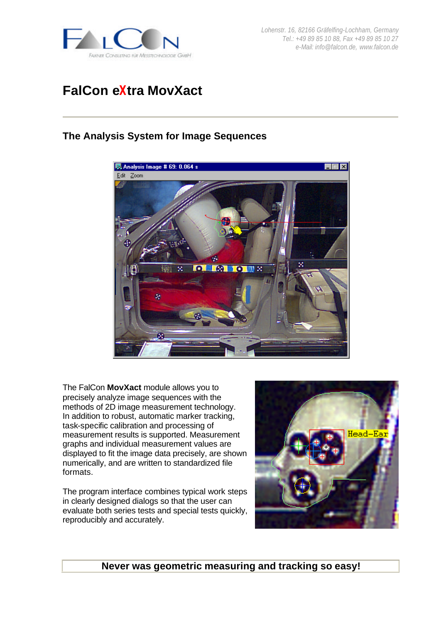

*Lohenstr. 16, 82166 Gräfelfing-Lochham, Germany Tel.: +49 89 85 10 88, Fax +49 89 85 10 27 e-Mail: info@falcon.de, www.falcon.de*

# **FalCon eXtra MovXact**

## **The Analysis System for Image Sequences**



The FalCon **MovXact** module allows you to precisely analyze image sequences with the methods of 2D image measurement technology. In addition to robust, automatic marker tracking, task-specific calibration and processing of measurement results is supported. Measurement graphs and individual measurement values are displayed to fit the image data precisely, are shown numerically, and are written to standardized file formats.

The program interface combines typical work steps in clearly designed dialogs so that the user can evaluate both series tests and special tests quickly, reproducibly and accurately.



**Never was geometric measuring and tracking so easy!**